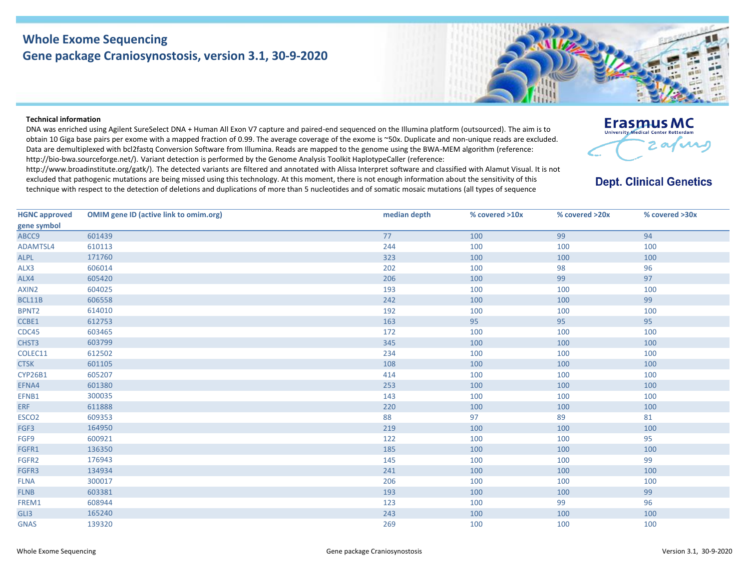## **Whole Exome Sequencing Gene package Craniosynostosis, version 3.1, 30-9-2020**

## **Technical information**

DNA was enriched using Agilent SureSelect DNA + Human All Exon V7 capture and paired-end sequenced on the Illumina platform (outsourced). The aim is to obtain 10 Giga base pairs per exome with a mapped fraction of 0.99. The average coverage of the exome is ~50x. Duplicate and non-unique reads are excluded. Data are demultiplexed with bcl2fastq Conversion Software from Illumina. Reads are mapped to the genome using the BWA-MEM algorithm (reference: http://bio‐bwa.sourceforge.net/). Variant detection is performed by the Genome Analysis Toolkit HaplotypeCaller (reference:

http://www.broadinstitute.org/gatk/). The detected variants are filtered and annotated with Alissa Interpret software and classified with Alamut Visual. It is not excluded that pathogenic mutations are being missed using this technology. At this moment, there is not enough information about the sensitivity of this technique with respect to the detection of deletions and duplications of more than 5 nucleotides and of somatic mosaic mutations (all types of sequence

## **Erasmus MC**  $\boldsymbol{\alpha}$

## **Dept. Clinical Genetics**

| <b>HGNC approved</b><br>gene symbol | <b>OMIM gene ID (active link to omim.org)</b> | median depth | % covered >10x | % covered >20x | % covered >30x |
|-------------------------------------|-----------------------------------------------|--------------|----------------|----------------|----------------|
| ABCC9                               | 601439                                        | 77           | 100            | 99             | 94             |
| ADAMTSL4                            | 610113                                        | 244          | 100            | 100            | 100            |
| <b>ALPL</b>                         | 171760                                        | 323          | 100            | 100            | 100            |
| ALX3                                | 606014                                        | 202          | 100            | 98             | 96             |
| ALX4                                | 605420                                        | 206          | 100            | 99             | 97             |
| AXIN2                               | 604025                                        | 193          | 100            | 100            | 100            |
| BCL11B                              | 606558                                        | 242          | 100            | 100            | 99             |
| BPNT2                               | 614010                                        | 192          | 100            | 100            | 100            |
| CCBE1                               | 612753                                        | 163          | 95             | 95             | 95             |
| CDC45                               | 603465                                        | 172          | 100            | 100            | 100            |
| CHST3                               | 603799                                        | 345          | 100            | 100            | 100            |
| COLEC11                             | 612502                                        | 234          | 100            | 100            | 100            |
| <b>CTSK</b>                         | 601105                                        | 108          | 100            | 100            | 100            |
| <b>CYP26B1</b>                      | 605207                                        | 414          | 100            | 100            | 100            |
| EFNA4                               | 601380                                        | 253          | 100            | 100            | 100            |
| EFNB1                               | 300035                                        | 143          | 100            | 100            | 100            |
| <b>ERF</b>                          | 611888                                        | 220          | 100            | 100            | 100            |
| ESCO <sub>2</sub>                   | 609353                                        | 88           | 97             | 89             | 81             |
| FGF3                                | 164950                                        | 219          | 100            | 100            | 100            |
| FGF9                                | 600921                                        | 122          | 100            | 100            | 95             |
| FGFR1                               | 136350                                        | 185          | 100            | 100            | 100            |
| FGFR2                               | 176943                                        | 145          | 100            | 100            | 99             |
| FGFR3                               | 134934                                        | 241          | 100            | 100            | 100            |
| <b>FLNA</b>                         | 300017                                        | 206          | 100            | 100            | 100            |
| <b>FLNB</b>                         | 603381                                        | 193          | 100            | 100            | 99             |
| FREM1                               | 608944                                        | 123          | 100            | 99             | 96             |
| GLI3                                | 165240                                        | 243          | 100            | 100            | 100            |
| <b>GNAS</b>                         | 139320                                        | 269          | 100            | 100            | 100            |
|                                     |                                               |              |                |                |                |

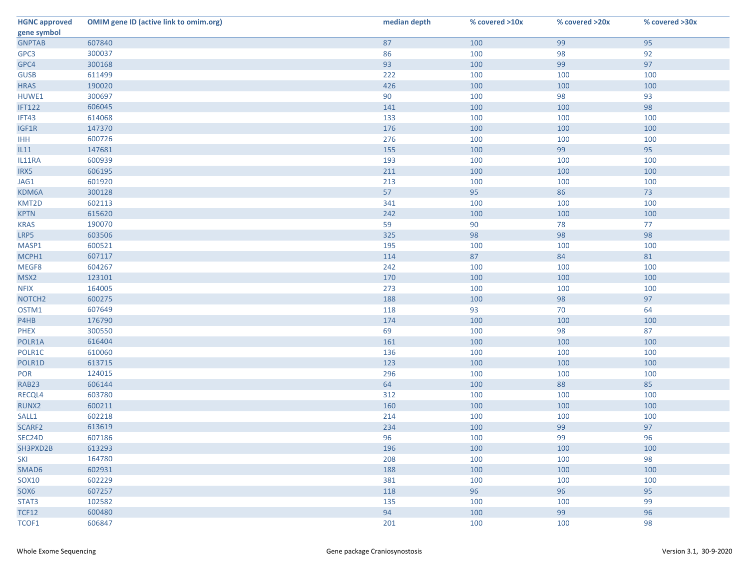| <b>HGNC approved</b> | <b>OMIM gene ID (active link to omim.org)</b> | median depth | % covered >10x | % covered >20x | % covered >30x |
|----------------------|-----------------------------------------------|--------------|----------------|----------------|----------------|
| gene symbol          |                                               |              |                |                |                |
| <b>GNPTAB</b>        | 607840                                        | 87           | 100            | 99             | 95             |
| GPC3                 | 300037                                        | 86           | 100            | 98             | 92             |
| GPC4                 | 300168                                        | 93           | 100            | 99             | 97             |
| <b>GUSB</b>          | 611499                                        | 222          | 100            | 100            | 100            |
| <b>HRAS</b>          | 190020                                        | 426          | 100            | 100            | 100            |
| HUWE1                | 300697                                        | 90           | 100            | 98             | 93             |
| <b>IFT122</b>        | 606045                                        | 141          | 100            | 100            | 98             |
| IFT43                | 614068                                        | 133          | 100            | 100            | 100            |
| IGF1R                | 147370                                        | 176          | 100            | 100            | 100            |
| <b>IHH</b>           | 600726                                        | 276          | 100            | 100            | 100            |
| IL11                 | 147681                                        | 155          | 100            | 99             | 95             |
| IL11RA               | 600939                                        | 193          | 100            | 100            | 100            |
| IRX5                 | 606195                                        | 211          | 100            | 100            | 100            |
| JAG1                 | 601920                                        | 213          | 100            | 100            | 100            |
| KDM6A                | 300128                                        | 57           | 95             | 86             | 73             |
| KMT2D                | 602113                                        | 341          | 100            | 100            | 100            |
| <b>KPTN</b>          | 615620                                        | 242          | 100            | 100            | 100            |
| <b>KRAS</b>          | 190070                                        | 59           | 90             | 78             | 77             |
| LRP5                 | 603506                                        | 325          | 98             | 98             | 98             |
| MASP1                | 600521                                        | 195          | 100            | 100            | 100            |
| MCPH1                | 607117                                        | 114          | 87             | 84             | 81             |
| MEGF8                | 604267                                        | 242          | 100            | 100            | 100            |
| MSX2                 | 123101                                        | 170          | 100            | 100            | 100            |
| <b>NFIX</b>          | 164005                                        | 273          | 100            | 100            | 100            |
| NOTCH <sub>2</sub>   | 600275                                        | 188          | 100            | 98             | 97             |
| OSTM1                | 607649                                        | 118          | 93             | 70             | 64             |
| P4HB                 | 176790                                        | 174          | 100            | 100            | 100            |
| <b>PHEX</b>          | 300550                                        | 69           | 100            | 98             | 87             |
| POLR1A               | 616404                                        | 161          | 100            | 100            | 100            |
| POLR1C               | 610060                                        | 136          | 100            | 100            | 100            |
| POLR1D               | 613715                                        | 123          | 100            | 100            | 100            |
| <b>POR</b>           | 124015                                        | 296          | 100            | 100            | 100            |
| <b>RAB23</b>         | 606144                                        | 64           | 100            | 88             | 85             |
| RECQL4               | 603780                                        | 312          | 100            | 100            | 100            |
| RUNX2                | 600211                                        | 160          | 100            | 100            | 100            |
| SALL1                | 602218                                        | 214          | 100            | 100            | 100            |
| SCARF2               | 613619                                        | 234          | 100            | 99             | 97             |
| SEC24D               | 607186                                        | 96           | 100            | 99             | 96             |
| SH3PXD2B             | 613293                                        | 196          | 100            | 100            | 100            |
| <b>SKI</b>           | 164780                                        | 208          | 100            | 100            | 98             |
| SMAD6                | 602931                                        | 188          | 100            | 100            | 100            |
| <b>SOX10</b>         | 602229                                        | 381          | 100            | 100            | 100            |
| SOX6                 | 607257                                        | 118          | 96             | 96             | 95             |
| STAT3                | 102582                                        | 135          | 100            | 100            | 99             |
| <b>TCF12</b>         | 600480                                        | 94           | 100            | 99             | 96             |
| TCOF1                | 606847                                        | 201          | 100            | 100            | 98             |